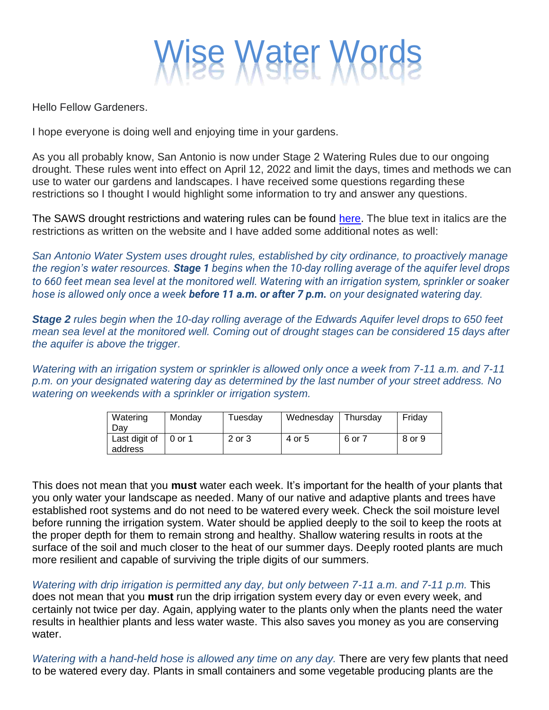

Hello Fellow Gardeners.

I hope everyone is doing well and enjoying time in your gardens.

As you all probably know, San Antonio is now under Stage 2 Watering Rules due to our ongoing drought. These rules went into effect on April 12, 2022 and limit the days, times and methods we can use to water our gardens and landscapes. I have received some questions regarding these restrictions so I thought I would highlight some information to try and answer any questions.

The SAWS drought restrictions and watering rules can be found [here.](https://www.saws.org/conservation/drought-restrictions/) The blue text in italics are the restrictions as written on the website and I have added some additional notes as well:

*San Antonio Water System uses drought rules, established by city ordinance, to proactively manage the region's water resources. Stage 1 begins when the 10-day rolling average of the aquifer level drops to 660 feet mean sea level at the monitored well. Watering with an irrigation system, sprinkler or soaker hose is allowed only once a week before 11 a.m. or after 7 p.m. on your designated watering day.*

*Stage 2 rules begin when the 10-day rolling average of the Edwards Aquifer level drops to 650 feet mean sea level at the monitored well. Coming out of drought stages can be considered 15 days after the aquifer is above the trigger.*

*Watering with an irrigation system or sprinkler is allowed only once a week from 7-11 a.m. and 7-11 p.m. on your designated watering day as determined by the last number of your street address. No watering on weekends with a sprinkler or irrigation system.* 

| Watering<br>Dav          | Monday | Tuesdav | Wednesday | Thursdav | Fridav |
|--------------------------|--------|---------|-----------|----------|--------|
| Last digit of<br>address | 0 or 1 | 2 or 3  | 4 or 5    | 6 or 7   | 8 or 9 |

This does not mean that you **must** water each week. It's important for the health of your plants that you only water your landscape as needed. Many of our native and adaptive plants and trees have established root systems and do not need to be watered every week. Check the soil moisture level before running the irrigation system. Water should be applied deeply to the soil to keep the roots at the proper depth for them to remain strong and healthy. Shallow watering results in roots at the surface of the soil and much closer to the heat of our summer days. Deeply rooted plants are much more resilient and capable of surviving the triple digits of our summers.

*Watering with drip irrigation is permitted any day, but only between 7-11 a.m. and 7-11 p.m.* This does not mean that you **must** run the drip irrigation system every day or even every week, and certainly not twice per day. Again, applying water to the plants only when the plants need the water results in healthier plants and less water waste. This also saves you money as you are conserving water.

*Watering with a hand-held hose is allowed any time on any day.* There are very few plants that need to be watered every day. Plants in small containers and some vegetable producing plants are the